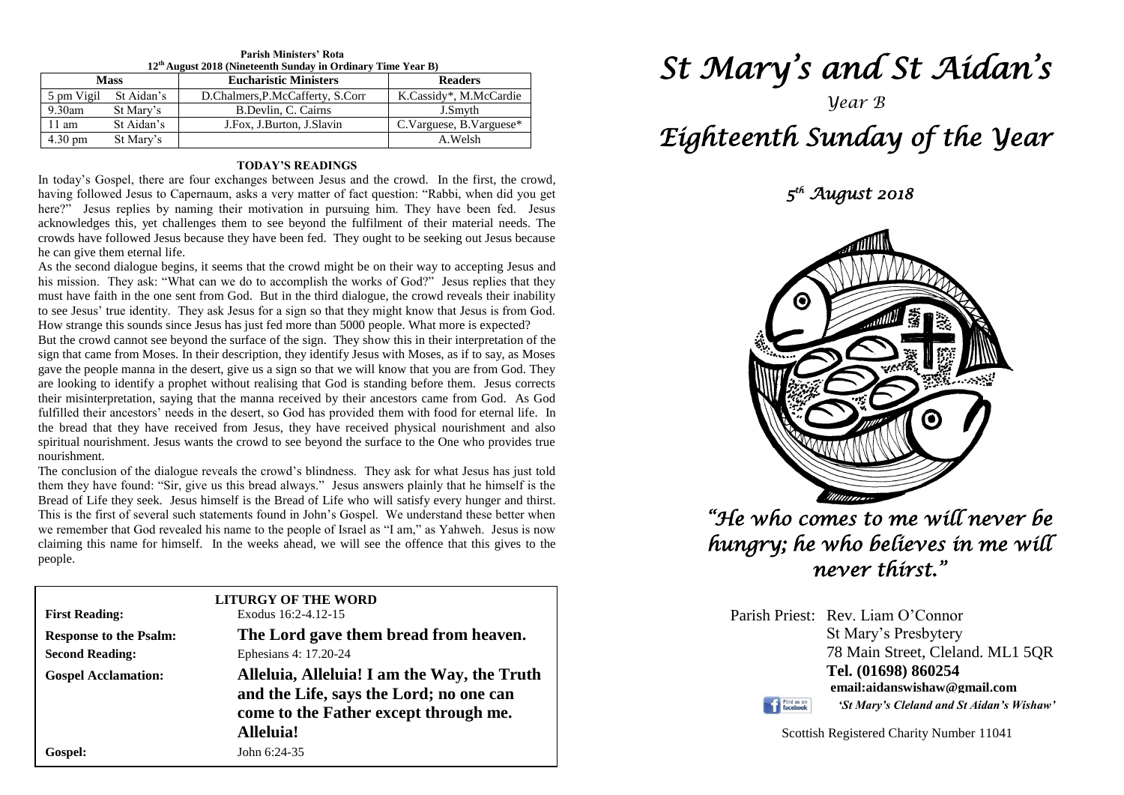| $12th$ August 2018 (Nineteenth Sunday in Ordinary Time Year B) |                       |                                  |                         |  |  |  |
|----------------------------------------------------------------|-----------------------|----------------------------------|-------------------------|--|--|--|
| <b>Mass</b>                                                    |                       | <b>Eucharistic Ministers</b>     | <b>Readers</b>          |  |  |  |
|                                                                | 5 pm Vigil St Aidan's | D.Chalmers, P.McCafferty, S.Corr | K.Cassidy*, M.McCardie  |  |  |  |
| $9.30$ am                                                      | St Mary's             | B.Devlin, C. Cairns              | J.Smyth                 |  |  |  |
| 11 am                                                          | St Aidan's            | J.Fox, J.Burton, J.Slavin        | C.Varguese, B.Varguese* |  |  |  |
| 4.30 pm                                                        | St Mary's             |                                  | A.Welsh                 |  |  |  |

## **Parish Ministers' Rota**

### **TODAY'S READINGS**

In today's Gospel, there are four exchanges between Jesus and the crowd. In the first, the crowd, having followed Jesus to Capernaum, asks a very matter of fact question: "Rabbi, when did you get here?" Jesus replies by naming their motivation in pursuing him. They have been fed. Jesus acknowledges this, yet challenges them to see beyond the fulfilment of their material needs. The crowds have followed Jesus because they have been fed. They ought to be seeking out Jesus because he can give them eternal life.

As the second dialogue begins, it seems that the crowd might be on their way to accepting Jesus and his mission. They ask: "What can we do to accomplish the works of God?" Jesus replies that they must have faith in the one sent from God. But in the third dialogue, the crowd reveals their inability to see Jesus' true identity. They ask Jesus for a sign so that they might know that Jesus is from God. How strange this sounds since Jesus has just fed more than 5000 people. What more is expected?

fulfilled their ancestors' needs in the desert, so God has provided them with food for eternal life. In the bread that they have received from Jesus, they have received physical nourishment and also But the crowd cannot see beyond the surface of the sign. They show this in their interpretation of the sign that came from Moses. In their description, they identify Jesus with Moses, as if to say, as Moses gave the people manna in the desert, give us a sign so that we will know that you are from God. They are looking to identify a prophet without realising that God is standing before them. Jesus corrects their misinterpretation, saying that the manna received by their ancestors came from God. As God the bread that they have received from Jesus, they have received physical nourishment and also spiritual nourishment. Jesus wants the crowd to see beyond the surface to the One who provides true nourishment.

nourishment.<br>The conclusion of the dialogue reveals the crowd's blindness. They ask for what Jesus has just told **Bread of Life they seek.** Jesus himself is the Bread of Life who will satisfy every hunger and thirst.<br>This is the first of several such statements found in John's Gospel. We understand these better when claiming this name for himself. In the weeks ahead, we will see the offence that this gives to the people. them they have found: "Sir, give us this bread always." Jesus answers plainly that he himself is the Bread of Life they seek. Jesus himself is the Bread of Life who will satisfy every hunger and thirst. we remember that God revealed his name to the people of Israel as "I am," as Yahweh. Jesus is now people.

| <b>First Reading:</b>         | <b>LITURGY OF THE WORD</b><br>Exodus 16:2-4.12-15                                                                                            |  |  |
|-------------------------------|----------------------------------------------------------------------------------------------------------------------------------------------|--|--|
| <b>Response to the Psalm:</b> | The Lord gave them bread from heaven.                                                                                                        |  |  |
| <b>Second Reading:</b>        | Ephesians 4: 17.20-24                                                                                                                        |  |  |
| <b>Gospel Acclamation:</b>    | Alleluia, Alleluia! I am the Way, the Truth<br>and the Life, says the Lord; no one can<br>come to the Father except through me.<br>Alleluia! |  |  |
| Gospel:                       | John 6:24-35                                                                                                                                 |  |  |

# *St Mary's and St Aidan's*

## *Year B Eighteenth Sunday of the Year*

 *5 th August 2018* 



*"He who comes to me will never be hungry; he who believes in me will never thirst."* 

Parish Priest: Rev. Liam O'Connor St Mary's Presbytery 78 Main Street, Cleland. ML1 5QR **Tel. (01698) 860254 email:aidanswishaw@gmail.com** *'St Mary's Cleland and St Aidan's Wishaw'*

Find us on

Scottish Registered Charity Number 11041